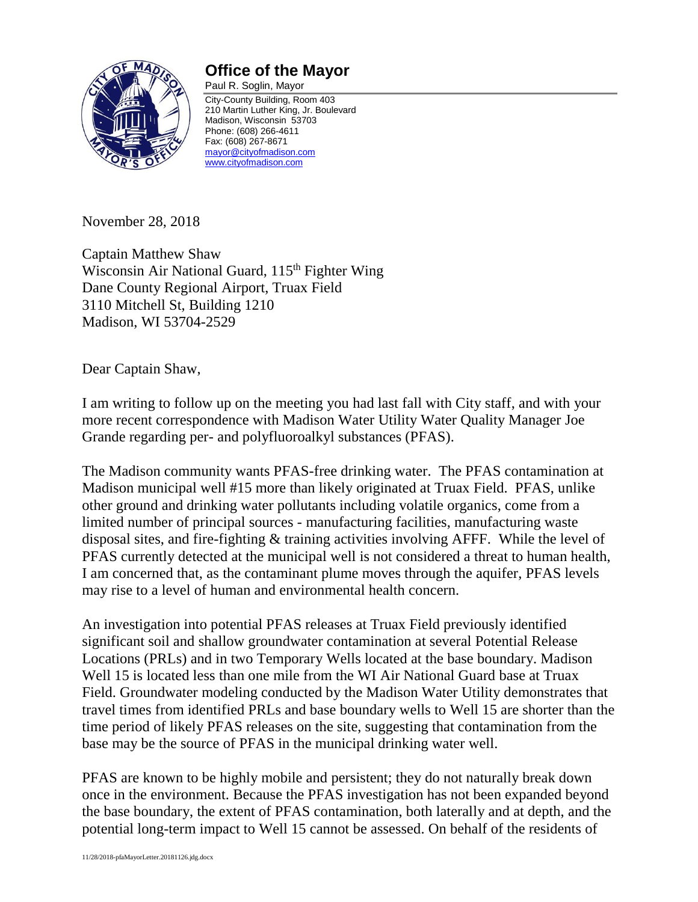

## **Office of the Mayor**

Paul R. Soglin, Mayor City-County Building, Room 403 210 Martin Luther King, Jr. Boulevard Madison, Wisconsin 53703 Phone: (608) 266-4611 Fax: (608) 267-8671 [mayor@cityofmadison.com](mailto:mayor@cityofmadison.com) [www.cityofmadison.com](http://www.cityofmadison.com/)

November 28, 2018

Captain Matthew Shaw Wisconsin Air National Guard, 115<sup>th</sup> Fighter Wing Dane County Regional Airport, Truax Field 3110 Mitchell St, Building 1210 Madison, WI 53704-2529

Dear Captain Shaw,

I am writing to follow up on the meeting you had last fall with City staff, and with your more recent correspondence with Madison Water Utility Water Quality Manager Joe Grande regarding per- and polyfluoroalkyl substances (PFAS).

The Madison community wants PFAS-free drinking water. The PFAS contamination at Madison municipal well #15 more than likely originated at Truax Field. PFAS, unlike other ground and drinking water pollutants including volatile organics, come from a limited number of principal sources - manufacturing facilities, manufacturing waste disposal sites, and fire-fighting & training activities involving AFFF. While the level of PFAS currently detected at the municipal well is not considered a threat to human health, I am concerned that, as the contaminant plume moves through the aquifer, PFAS levels may rise to a level of human and environmental health concern.

An investigation into potential PFAS releases at Truax Field previously identified significant soil and shallow groundwater contamination at several Potential Release Locations (PRLs) and in two Temporary Wells located at the base boundary. Madison Well 15 is located less than one mile from the WI Air National Guard base at Truax Field. Groundwater modeling conducted by the Madison Water Utility demonstrates that travel times from identified PRLs and base boundary wells to Well 15 are shorter than the time period of likely PFAS releases on the site, suggesting that contamination from the base may be the source of PFAS in the municipal drinking water well.

PFAS are known to be highly mobile and persistent; they do not naturally break down once in the environment. Because the PFAS investigation has not been expanded beyond the base boundary, the extent of PFAS contamination, both laterally and at depth, and the potential long-term impact to Well 15 cannot be assessed. On behalf of the residents of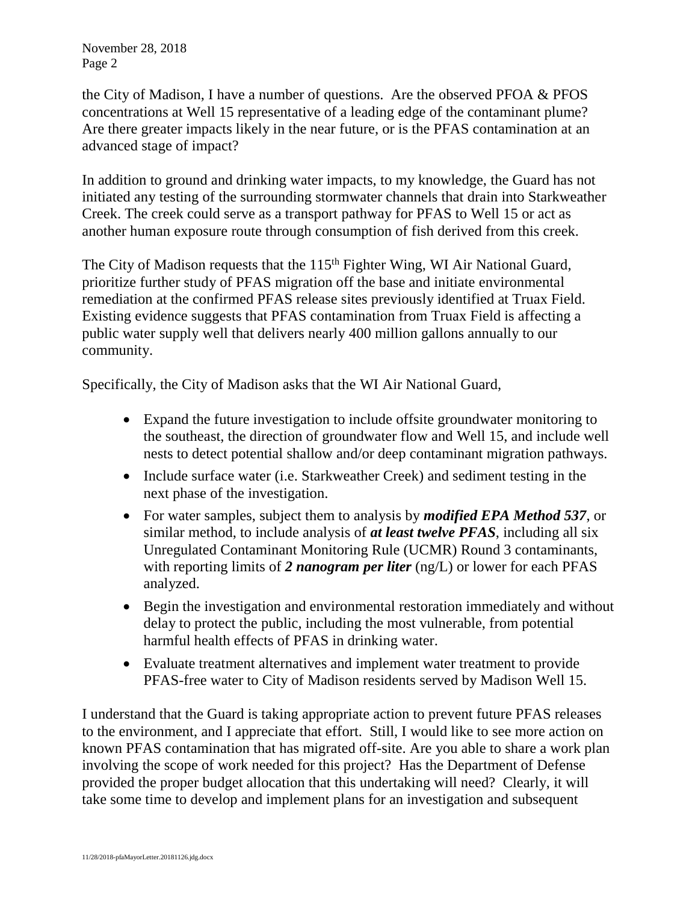November 28, 2018 Page 2

the City of Madison, I have a number of questions. Are the observed PFOA & PFOS concentrations at Well 15 representative of a leading edge of the contaminant plume? Are there greater impacts likely in the near future, or is the PFAS contamination at an advanced stage of impact?

In addition to ground and drinking water impacts, to my knowledge, the Guard has not initiated any testing of the surrounding stormwater channels that drain into Starkweather Creek. The creek could serve as a transport pathway for PFAS to Well 15 or act as another human exposure route through consumption of fish derived from this creek.

The City of Madison requests that the 115<sup>th</sup> Fighter Wing, WI Air National Guard, prioritize further study of PFAS migration off the base and initiate environmental remediation at the confirmed PFAS release sites previously identified at Truax Field. Existing evidence suggests that PFAS contamination from Truax Field is affecting a public water supply well that delivers nearly 400 million gallons annually to our community.

Specifically, the City of Madison asks that the WI Air National Guard,

- Expand the future investigation to include offsite groundwater monitoring to the southeast, the direction of groundwater flow and Well 15, and include well nests to detect potential shallow and/or deep contaminant migration pathways.
- Include surface water (i.e. Starkweather Creek) and sediment testing in the next phase of the investigation.
- For water samples, subject them to analysis by *modified EPA Method 537*, or similar method, to include analysis of *at least twelve PFAS*, including all six Unregulated Contaminant Monitoring Rule (UCMR) Round 3 contaminants, with reporting limits of *2 nanogram per liter* (ng/L) or lower for each PFAS analyzed.
- Begin the investigation and environmental restoration immediately and without delay to protect the public, including the most vulnerable, from potential harmful health effects of PFAS in drinking water.
- Evaluate treatment alternatives and implement water treatment to provide PFAS-free water to City of Madison residents served by Madison Well 15.

I understand that the Guard is taking appropriate action to prevent future PFAS releases to the environment, and I appreciate that effort. Still, I would like to see more action on known PFAS contamination that has migrated off-site. Are you able to share a work plan involving the scope of work needed for this project? Has the Department of Defense provided the proper budget allocation that this undertaking will need? Clearly, it will take some time to develop and implement plans for an investigation and subsequent